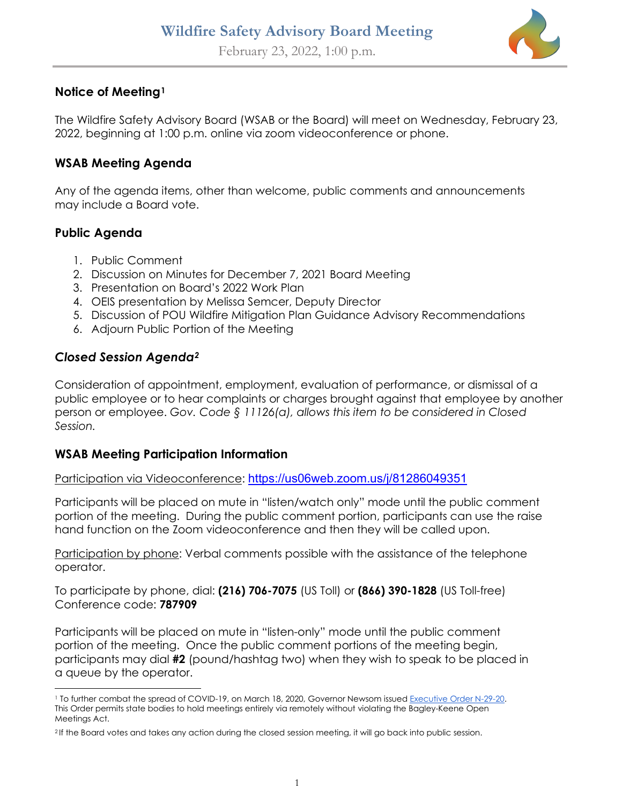

## **Notice of Meeting[1](#page-0-0)**

The Wildfire Safety Advisory Board (WSAB or the Board) will meet on Wednesday, February 23, 2022, beginning at 1:00 p.m. online via zoom videoconference or phone.

## **WSAB Meeting Agenda**

Any of the agenda items, other than welcome, public comments and announcements may include a Board vote.

### **Public Agenda**

- 1. Public Comment
- 2. Discussion on Minutes for December 7, 2021 Board Meeting
- 3. Presentation on Board's 2022 Work Plan
- 4. OEIS presentation by Melissa Semcer, Deputy Director
- 5. Discussion of POU Wildfire Mitigation Plan Guidance Advisory Recommendations
- 6. Adjourn Public Portion of the Meeting

### *Closed Session Agenda[2](#page-0-1)*

Consideration of appointment, employment, evaluation of performance, or dismissal of a public employee or to hear complaints or charges brought against that employee by another person or employee. *Gov. Code § 11126(a), allows this item to be considered in Closed Session.* 

#### **WSAB Meeting Participation Information**

Participation via Videoconference: <https://us06web.zoom.us/j/81286049351>

Participants will be placed on mute in "listen/watch only" mode until the public comment portion of the meeting. During the public comment portion, participants can use the raise hand function on the Zoom videoconference and then they will be called upon.

Participation by phone: Verbal comments possible with the assistance of the telephone operator.

To participate by phone, dial: **(216) 706-7075** (US Toll) or **(866) 390-1828** (US Toll-free) Conference code: **787909**

Participants will be placed on mute in "listen-only" mode until the public comment portion of the meeting. Once the public comment portions of the meeting begin, participants may dial **#2** (pound/hashtag two) when they wish to speak to be placed in a queue by the operator.

<span id="page-0-0"></span><sup>&</sup>lt;sup>1</sup> To further combat the spread of COVID-19, on March 18, 2020, Governor Newsom issued Executive Order N-29-20. This Order permits state bodies to hold meetings entirely via remotely without violating the Bagley-Keene Open Meetings Act.

<span id="page-0-1"></span><sup>2</sup> If the Board votes and takes any action during the closed session meeting, it will go back into public session.